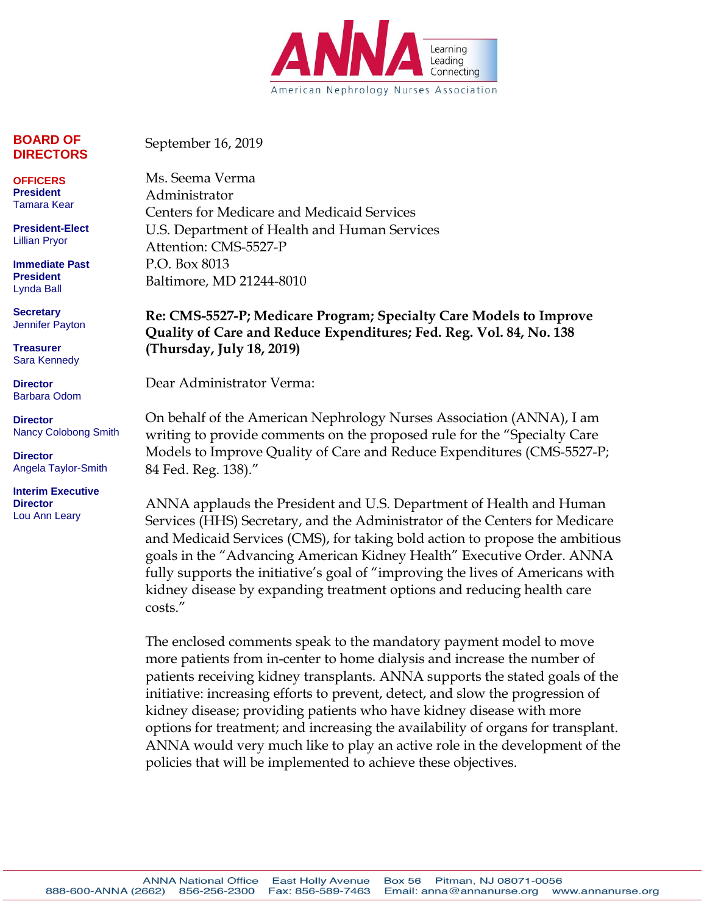

**BOARD OF DIRECTORS**

September 16, 2019

**OFFICERS President** Tamara Kear

**President-Elect** Lillian Pryor

**Immediate Past President** Lynda Ball

**Secretary** Jennifer Payton

**Treasurer** Sara Kennedy

**Director** Barbara Odom

**Director** Nancy Colobong Smith

**Director** Angela Taylor-Smith

**Interim Executive Director** Lou Ann Leary

Ms. Seema Verma Administrator Centers for Medicare and Medicaid Services U.S. Department of Health and Human Services Attention: CMS-5527-P P.O. Box 8013

**Re: CMS-5527-P; Medicare Program; Specialty Care Models to Improve Quality of Care and Reduce Expenditures; Fed. Reg. Vol. 84, No. 138 (Thursday, July 18, 2019)**

Dear Administrator Verma:

Baltimore, MD 21244-8010

On behalf of the American Nephrology Nurses Association (ANNA), I am writing to provide comments on the proposed rule for the "Specialty Care Models to Improve Quality of Care and Reduce Expenditures (CMS-5527-P; 84 Fed. Reg. 138)."

ANNA applauds the President and U.S. Department of Health and Human Services (HHS) Secretary, and the Administrator of the Centers for Medicare and Medicaid Services (CMS), for taking bold action to propose the ambitious goals in the "Advancing American Kidney Health" Executive Order. ANNA fully supports the initiative's goal of "improving the lives of Americans with kidney disease by expanding treatment options and reducing health care costs."

The enclosed comments speak to the mandatory payment model to move more patients from in-center to home dialysis and increase the number of patients receiving kidney transplants. ANNA supports the stated goals of the initiative: increasing efforts to prevent, detect, and slow the progression of kidney disease; providing patients who have kidney disease with more options for treatment; and increasing the availability of organs for transplant. ANNA would very much like to play an active role in the development of the policies that will be implemented to achieve these objectives.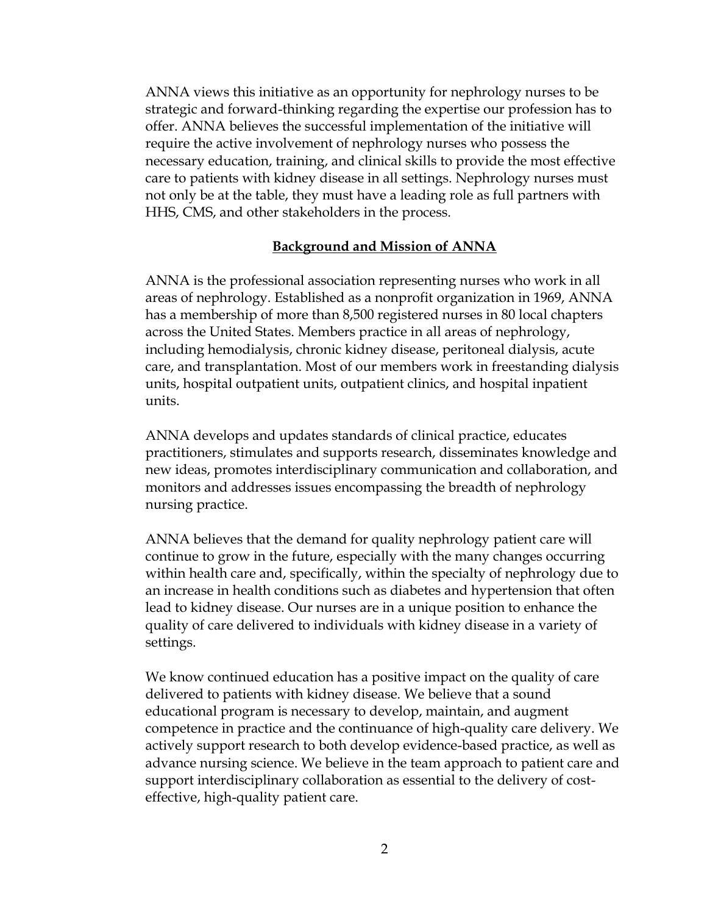ANNA views this initiative as an opportunity for nephrology nurses to be strategic and forward-thinking regarding the expertise our profession has to offer. ANNA believes the successful implementation of the initiative will require the active involvement of nephrology nurses who possess the necessary education, training, and clinical skills to provide the most effective care to patients with kidney disease in all settings. Nephrology nurses must not only be at the table, they must have a leading role as full partners with HHS, CMS, and other stakeholders in the process.

#### **Background and Mission of ANNA**

ANNA is the professional association representing nurses who work in all areas of nephrology. Established as a nonprofit organization in 1969, ANNA has a membership of more than 8,500 registered nurses in 80 local chapters across the United States. Members practice in all areas of nephrology, including hemodialysis, chronic kidney disease, peritoneal dialysis, acute care, and transplantation. Most of our members work in freestanding dialysis units, hospital outpatient units, outpatient clinics, and hospital inpatient units.

ANNA develops and updates standards of clinical practice, educates practitioners, stimulates and supports research, disseminates knowledge and new ideas, promotes interdisciplinary communication and collaboration, and monitors and addresses issues encompassing the breadth of nephrology nursing practice.

ANNA believes that the demand for quality nephrology patient care will continue to grow in the future, especially with the many changes occurring within health care and, specifically, within the specialty of nephrology due to an increase in health conditions such as diabetes and hypertension that often lead to kidney disease. Our nurses are in a unique position to enhance the quality of care delivered to individuals with kidney disease in a variety of settings.

We know continued education has a positive impact on the quality of care delivered to patients with kidney disease. We believe that a sound educational program is necessary to develop, maintain, and augment competence in practice and the continuance of high-quality care delivery. We actively support research to both develop evidence-based practice, as well as advance nursing science. We believe in the team approach to patient care and support interdisciplinary collaboration as essential to the delivery of costeffective, high-quality patient care.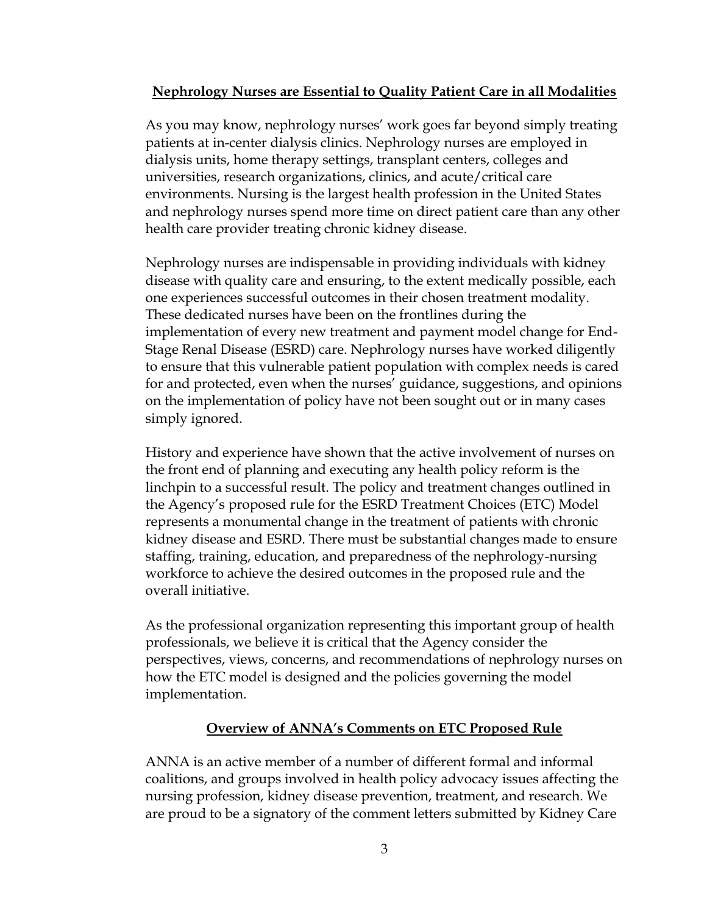### **Nephrology Nurses are Essential to Quality Patient Care in all Modalities**

As you may know, nephrology nurses' work goes far beyond simply treating patients at in-center dialysis clinics. Nephrology nurses are employed in dialysis units, home therapy settings, transplant centers, colleges and universities, research organizations, clinics, and acute/critical care environments. Nursing is the largest health profession in the United States and nephrology nurses spend more time on direct patient care than any other health care provider treating chronic kidney disease.

Nephrology nurses are indispensable in providing individuals with kidney disease with quality care and ensuring, to the extent medically possible, each one experiences successful outcomes in their chosen treatment modality. These dedicated nurses have been on the frontlines during the implementation of every new treatment and payment model change for End-Stage Renal Disease (ESRD) care. Nephrology nurses have worked diligently to ensure that this vulnerable patient population with complex needs is cared for and protected, even when the nurses' guidance, suggestions, and opinions on the implementation of policy have not been sought out or in many cases simply ignored.

History and experience have shown that the active involvement of nurses on the front end of planning and executing any health policy reform is the linchpin to a successful result. The policy and treatment changes outlined in the Agency's proposed rule for the ESRD Treatment Choices (ETC) Model represents a monumental change in the treatment of patients with chronic kidney disease and ESRD. There must be substantial changes made to ensure staffing, training, education, and preparedness of the nephrology-nursing workforce to achieve the desired outcomes in the proposed rule and the overall initiative.

As the professional organization representing this important group of health professionals, we believe it is critical that the Agency consider the perspectives, views, concerns, and recommendations of nephrology nurses on how the ETC model is designed and the policies governing the model implementation.

### **Overview of ANNA's Comments on ETC Proposed Rule**

ANNA is an active member of a number of different formal and informal coalitions, and groups involved in health policy advocacy issues affecting the nursing profession, kidney disease prevention, treatment, and research. We are proud to be a signatory of the comment letters submitted by Kidney Care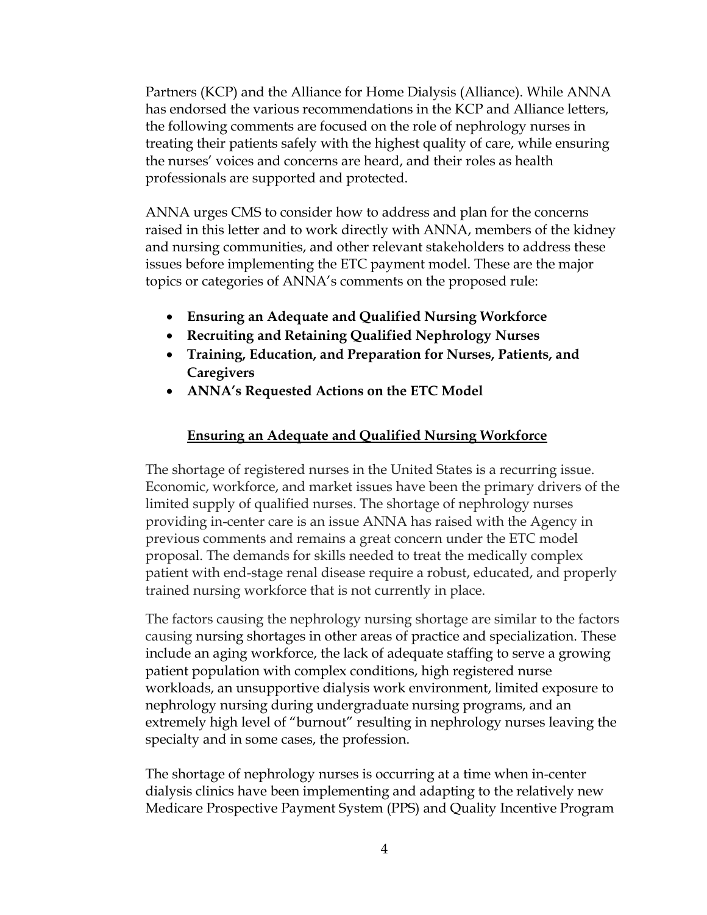Partners (KCP) and the Alliance for Home Dialysis (Alliance). While ANNA has endorsed the various recommendations in the KCP and Alliance letters, the following comments are focused on the role of nephrology nurses in treating their patients safely with the highest quality of care, while ensuring the nurses' voices and concerns are heard, and their roles as health professionals are supported and protected.

ANNA urges CMS to consider how to address and plan for the concerns raised in this letter and to work directly with ANNA, members of the kidney and nursing communities, and other relevant stakeholders to address these issues before implementing the ETC payment model. These are the major topics or categories of ANNA's comments on the proposed rule:

- **Ensuring an Adequate and Qualified Nursing Workforce**
- **Recruiting and Retaining Qualified Nephrology Nurses**
- **Training, Education, and Preparation for Nurses, Patients, and Caregivers**
- **ANNA's Requested Actions on the ETC Model**

# **Ensuring an Adequate and Qualified Nursing Workforce**

The shortage of registered nurses in the United States is a recurring issue. Economic, workforce, and market issues have been the primary drivers of the limited supply of qualified nurses. The shortage of nephrology nurses providing in-center care is an issue ANNA has raised with the Agency in previous comments and remains a great concern under the ETC model proposal. The demands for skills needed to treat the medically complex patient with end-stage renal disease require a robust, educated, and properly trained nursing workforce that is not currently in place.

The factors causing the nephrology nursing shortage are similar to the factors causing nursing shortages in other areas of practice and specialization. These include an aging workforce, the lack of adequate staffing to serve a growing patient population with complex conditions, high registered nurse workloads, an unsupportive dialysis work environment, limited exposure to nephrology nursing during undergraduate nursing programs, and an extremely high level of "burnout" resulting in nephrology nurses leaving the specialty and in some cases, the profession.

The shortage of nephrology nurses is occurring at a time when in-center dialysis clinics have been implementing and adapting to the relatively new Medicare Prospective Payment System (PPS) and Quality Incentive Program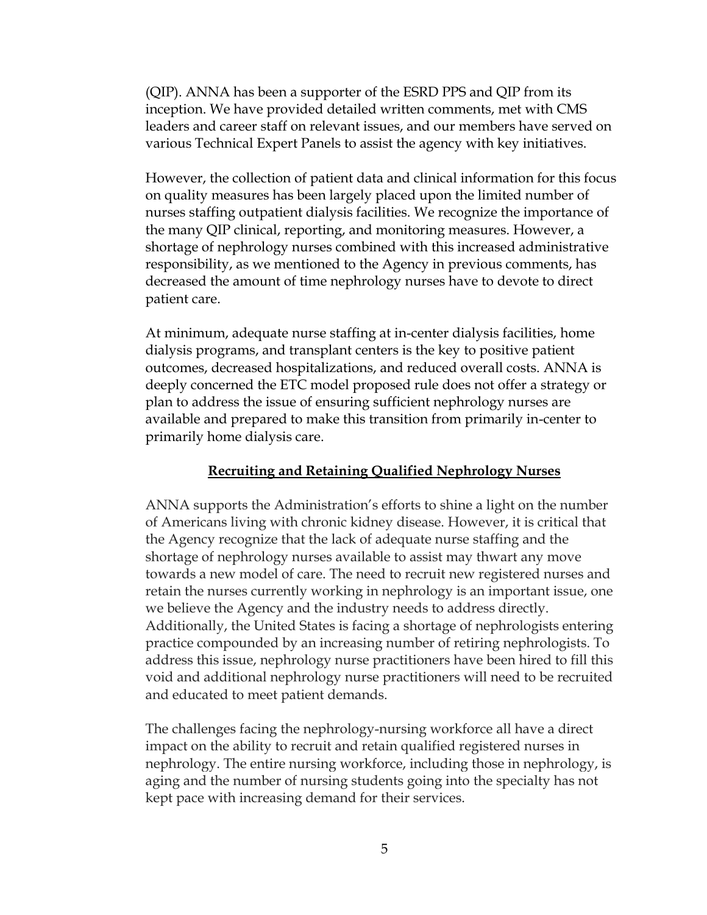(QIP). ANNA has been a supporter of the ESRD PPS and QIP from its inception. We have provided detailed written comments, met with CMS leaders and career staff on relevant issues, and our members have served on various Technical Expert Panels to assist the agency with key initiatives.

However, the collection of patient data and clinical information for this focus on quality measures has been largely placed upon the limited number of nurses staffing outpatient dialysis facilities. We recognize the importance of the many QIP clinical, reporting, and monitoring measures. However, a shortage of nephrology nurses combined with this increased administrative responsibility, as we mentioned to the Agency in previous comments, has decreased the amount of time nephrology nurses have to devote to direct patient care.

At minimum, adequate nurse staffing at in-center dialysis facilities, home dialysis programs, and transplant centers is the key to positive patient outcomes, decreased hospitalizations, and reduced overall costs. ANNA is deeply concerned the ETC model proposed rule does not offer a strategy or plan to address the issue of ensuring sufficient nephrology nurses are available and prepared to make this transition from primarily in-center to primarily home dialysis care.

#### **Recruiting and Retaining Qualified Nephrology Nurses**

ANNA supports the Administration's efforts to shine a light on the number of Americans living with chronic kidney disease. However, it is critical that the Agency recognize that the lack of adequate nurse staffing and the shortage of nephrology nurses available to assist may thwart any move towards a new model of care. The need to recruit new registered nurses and retain the nurses currently working in nephrology is an important issue, one we believe the Agency and the industry needs to address directly. Additionally, the United States is facing a shortage of nephrologists entering practice compounded by an increasing number of retiring nephrologists. To address this issue, nephrology nurse practitioners have been hired to fill this void and additional nephrology nurse practitioners will need to be recruited and educated to meet patient demands.

The challenges facing the nephrology-nursing workforce all have a direct impact on the ability to recruit and retain qualified registered nurses in nephrology. The entire nursing workforce, including those in nephrology, is aging and the number of nursing students going into the specialty has not kept pace with increasing demand for their services.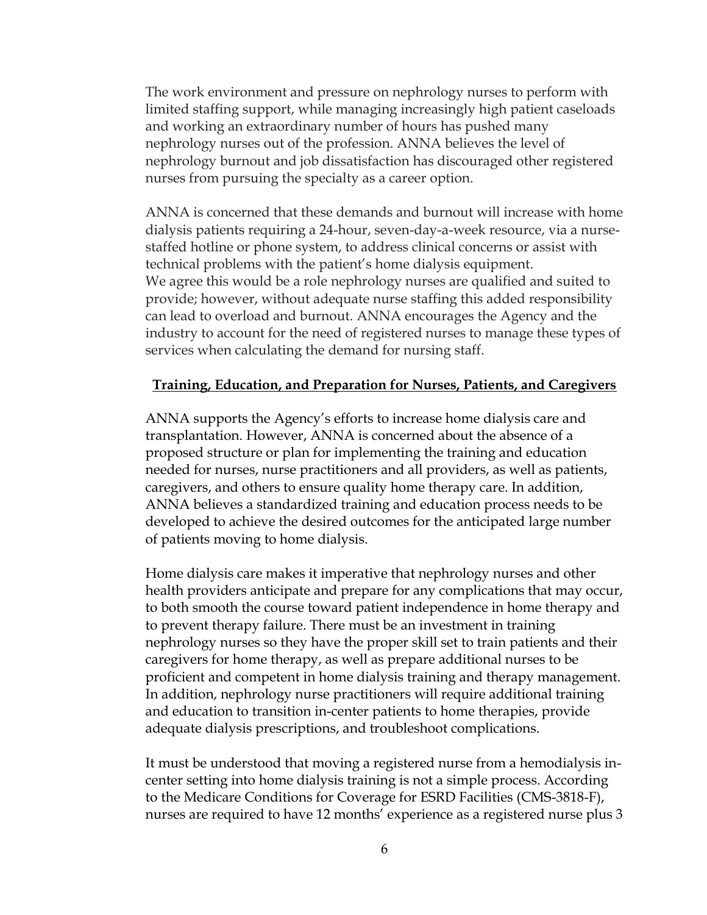The work environment and pressure on nephrology nurses to perform with limited staffing support, while managing increasingly high patient caseloads and working an extraordinary number of hours has pushed many nephrology nurses out of the profession. ANNA believes the level of nephrology burnout and job dissatisfaction has discouraged other registered nurses from pursuing the specialty as a career option.

ANNA is concerned that these demands and burnout will increase with home dialysis patients requiring a 24-hour, seven-day-a-week resource, via a nursestaffed hotline or phone system, to address clinical concerns or assist with technical problems with the patient's home dialysis equipment. We agree this would be a role nephrology nurses are qualified and suited to provide; however, without adequate nurse staffing this added responsibility can lead to overload and burnout. ANNA encourages the Agency and the industry to account for the need of registered nurses to manage these types of services when calculating the demand for nursing staff.

### **Training, Education, and Preparation for Nurses, Patients, and Caregivers**

ANNA supports the Agency's efforts to increase home dialysis care and transplantation. However, ANNA is concerned about the absence of a proposed structure or plan for implementing the training and education needed for nurses, nurse practitioners and all providers, as well as patients, caregivers, and others to ensure quality home therapy care. In addition, ANNA believes a standardized training and education process needs to be developed to achieve the desired outcomes for the anticipated large number of patients moving to home dialysis.

Home dialysis care makes it imperative that nephrology nurses and other health providers anticipate and prepare for any complications that may occur, to both smooth the course toward patient independence in home therapy and to prevent therapy failure. There must be an investment in training nephrology nurses so they have the proper skill set to train patients and their caregivers for home therapy, as well as prepare additional nurses to be proficient and competent in home dialysis training and therapy management. In addition, nephrology nurse practitioners will require additional training and education to transition in-center patients to home therapies, provide adequate dialysis prescriptions, and troubleshoot complications.

It must be understood that moving a registered nurse from a hemodialysis incenter setting into home dialysis training is not a simple process. According to the Medicare Conditions for Coverage for ESRD Facilities (CMS-3818-F), nurses are required to have 12 months' experience as a registered nurse plus 3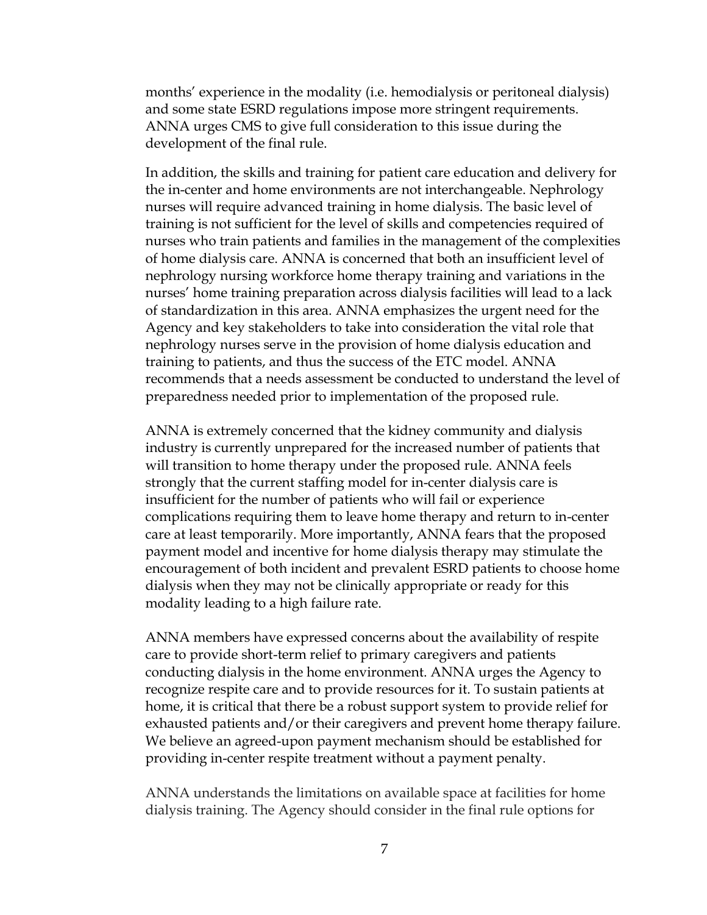months' experience in the modality (i.e. hemodialysis or peritoneal dialysis) and some state ESRD regulations impose more stringent requirements. ANNA urges CMS to give full consideration to this issue during the development of the final rule.

In addition, the skills and training for patient care education and delivery for the in-center and home environments are not interchangeable. Nephrology nurses will require advanced training in home dialysis. The basic level of training is not sufficient for the level of skills and competencies required of nurses who train patients and families in the management of the complexities of home dialysis care. ANNA is concerned that both an insufficient level of nephrology nursing workforce home therapy training and variations in the nurses' home training preparation across dialysis facilities will lead to a lack of standardization in this area. ANNA emphasizes the urgent need for the Agency and key stakeholders to take into consideration the vital role that nephrology nurses serve in the provision of home dialysis education and training to patients, and thus the success of the ETC model. ANNA recommends that a needs assessment be conducted to understand the level of preparedness needed prior to implementation of the proposed rule.

ANNA is extremely concerned that the kidney community and dialysis industry is currently unprepared for the increased number of patients that will transition to home therapy under the proposed rule. ANNA feels strongly that the current staffing model for in-center dialysis care is insufficient for the number of patients who will fail or experience complications requiring them to leave home therapy and return to in-center care at least temporarily. More importantly, ANNA fears that the proposed payment model and incentive for home dialysis therapy may stimulate the encouragement of both incident and prevalent ESRD patients to choose home dialysis when they may not be clinically appropriate or ready for this modality leading to a high failure rate.

ANNA members have expressed concerns about the availability of respite care to provide short-term relief to primary caregivers and patients conducting dialysis in the home environment. ANNA urges the Agency to recognize respite care and to provide resources for it. To sustain patients at home, it is critical that there be a robust support system to provide relief for exhausted patients and/or their caregivers and prevent home therapy failure. We believe an agreed-upon payment mechanism should be established for providing in-center respite treatment without a payment penalty.

ANNA understands the limitations on available space at facilities for home dialysis training. The Agency should consider in the final rule options for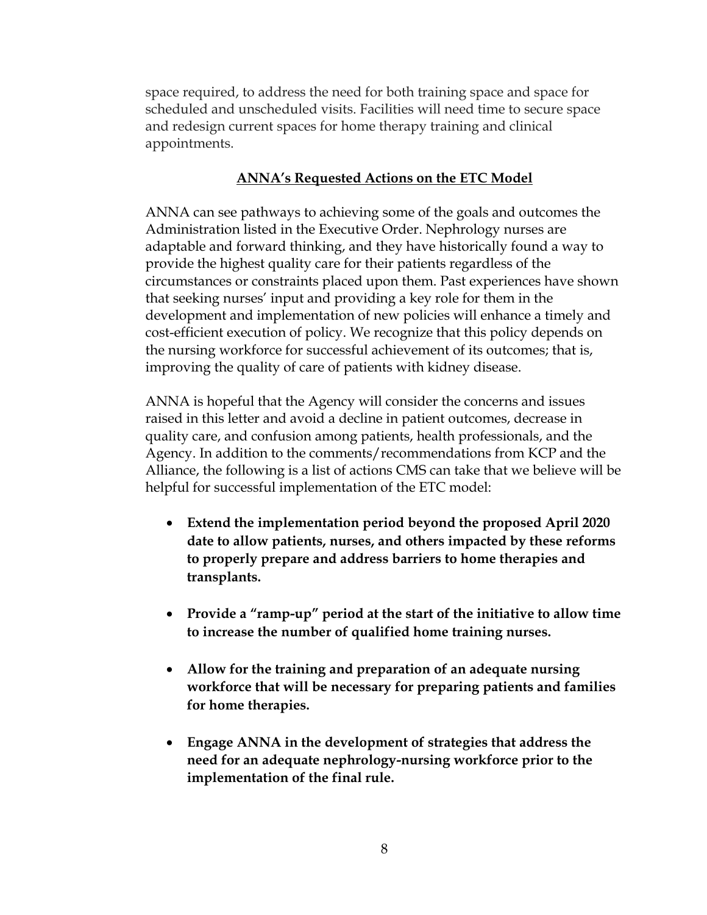space required, to address the need for both training space and space for scheduled and unscheduled visits. Facilities will need time to secure space and redesign current spaces for home therapy training and clinical appointments.

# **ANNA's Requested Actions on the ETC Model**

ANNA can see pathways to achieving some of the goals and outcomes the Administration listed in the Executive Order. Nephrology nurses are adaptable and forward thinking, and they have historically found a way to provide the highest quality care for their patients regardless of the circumstances or constraints placed upon them. Past experiences have shown that seeking nurses' input and providing a key role for them in the development and implementation of new policies will enhance a timely and cost-efficient execution of policy. We recognize that this policy depends on the nursing workforce for successful achievement of its outcomes; that is, improving the quality of care of patients with kidney disease.

ANNA is hopeful that the Agency will consider the concerns and issues raised in this letter and avoid a decline in patient outcomes, decrease in quality care, and confusion among patients, health professionals, and the Agency. In addition to the comments/recommendations from KCP and the Alliance, the following is a list of actions CMS can take that we believe will be helpful for successful implementation of the ETC model:

- **Extend the implementation period beyond the proposed April 2020 date to allow patients, nurses, and others impacted by these reforms to properly prepare and address barriers to home therapies and transplants.**
- **Provide a "ramp-up" period at the start of the initiative to allow time to increase the number of qualified home training nurses.**
- **Allow for the training and preparation of an adequate nursing workforce that will be necessary for preparing patients and families for home therapies.**
- **Engage ANNA in the development of strategies that address the need for an adequate nephrology-nursing workforce prior to the implementation of the final rule.**